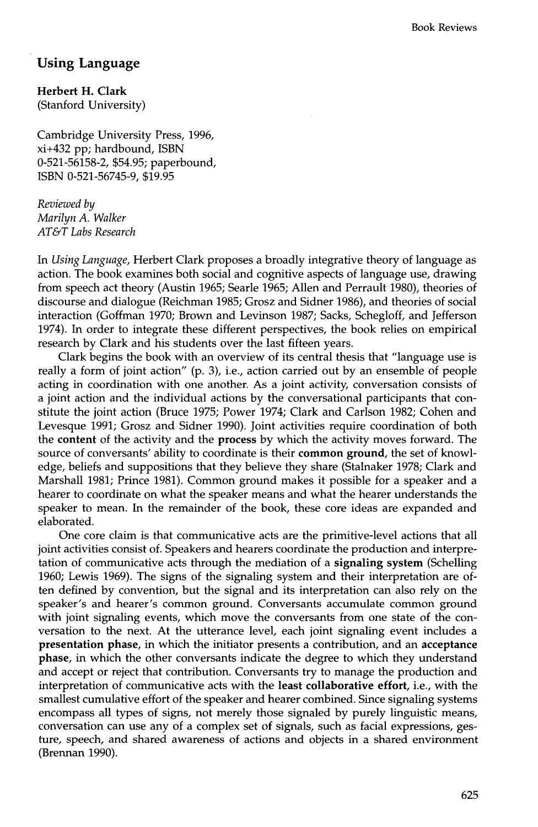## **Using Language**

**Herbert H. Clark**  (Stanford University)

Cambridge University Press, 1996, xi+432 pp; hardbound, ISBN 0-521-56158-2, \$54.95; paperbound, ISBN 0-521-56745-9, \$19.95

*Reviewed by Marilyn A. Walker AT&T Labs Research* 

In *Using Language,* Herbert Clark proposes a broadly integrative theory of language as action. The book examines both social and cognitive aspects of language use, drawing from speech act theory (Austin 1965; Searle 1965; Allen and Perrault 1980), theories of discourse and dialogue (Reichman 1985; Grosz and Sidner 1986), and theories of social interaction (Goffman 1970; Brown and Levinson 1987; Sacks, Schegloff, and Jefferson 1974). In order to integrate these different perspectives, the book relies on empirical research by Clark and his students over the last fifteen years.

Clark begins the book with an overview of its central thesis that "language use is really a form of joint action" (p. 3), i.e., action carried out by an ensemble of people acting in coordination with one another. As a joint activity, conversation consists of a joint action and the individual actions by the conversational participants that constitute the joint action (Bruce 1975; Power 1974; Clark and Carlson 1982; Cohen and Levesque 1991; Grosz and Sidner 1990). Joint activities require coordination of both the **content** of the activity and the process by which the activity moves forward. The source of conversants' ability to coordinate is their **common ground,** the set of knowledge, beliefs and suppositions that they believe they share (Stalnaker 1978; Clark and Marshall 1981; Prince 1981). Common ground makes it possible for a speaker and a hearer to coordinate on what the speaker means and what the hearer understands the speaker to mean. In the remainder of the book, these core ideas are expanded and elaborated.

One core claim is that communicative acts are the primitive-level actions that all joint activities consist of. Speakers and hearers coordinate the production and interpretation of communicative acts through the mediation of a **signaling system** (Schelling 1960; Lewis 1969). The signs of the signaling system and their interpretation are often defined by convention, but the signal and its interpretation can also rely on the speaker's and hearer's common ground. Conversants accumulate common ground with joint signaling events, which move the conversants from one state of the conversation to the next. At the utterance level, each joint signaling event includes a **presentation** phase, in which the initiator presents a contribution, and an **acceptance**  phase, in which the other conversants indicate the degree to which they understand and accept or reject that contribution. Conversants try to manage the production and interpretation of communicative acts with the **least collaborative effort,** i.e., with the smallest cumulative effort of the speaker and hearer combined. Since signaling systems encompass all types of signs, not merely those signaled by purely linguistic means, conversation can use any of a complex set of signals, such as facial expressions, gesture, speech, and shared awareness of actions and objects in a shared environment (Brennan 1990).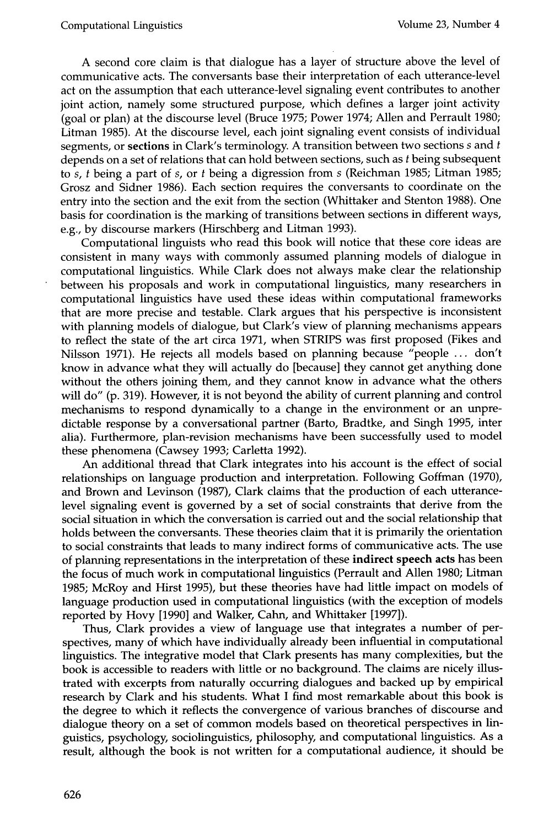A second core claim is that dialogue has a layer of structure above the level of communicative acts. The conversants base their interpretation of each utterance-level act on the assumption that each utterance-level signaling event contributes to another joint action, namely some structured purpose, which defines a larger joint activity (goal or plan) at the discourse level (Bruce 1975; Power 1974; Allen and Perrault 1980; Litman 1985). At the discourse level, each joint signaling event consists of individual segments, or sections in Clark's terminology. A transition between two sections  $s$  and  $t$ depends on a set of relations that can hold between sections, such as t being subsequent to s, t being a part of s, or t being a digression from s (Reichman 1985; Litman 1985; Grosz and Sidner 1986). Each section requires the conversants to coordinate on the entry into the section and the exit from the section (Whittaker and Stenton 1988). One basis for coordination is the marking of transitions between sections in different ways, e.g., by discourse markers (Hirschberg and Litman 1993).

Computational linguists who read this book will notice that these core ideas are consistent in many ways with commonly assumed planning models of dialogue in computational linguistics. While Clark does not always make clear the relationship between his proposals and work in computational linguistics, many researchers in computational linguistics have used these ideas within computational frameworks that are more precise and testable. Clark argues that his perspective is inconsistent with planning models of dialogue, but Clark's view of planning mechanisms appears to reflect the state of the art circa 1971, when STRIPS was first proposed (Fikes and Nilsson 1971). He rejects all models based on planning because "people ... don't know in advance what they will actually do [because] they cannot get anything done without the others joining them, and they cannot know in advance what the others will do" (p. 319). However, it is not beyond the ability of current planning and control mechanisms to respond dynamically to a change in the environment or an unpredictable response by a conversational partner (Barto, Bradtke, and Singh 1995, inter alia). Furthermore, plan-revision mechanisms have been successfully used to model these phenomena (Cawsey 1993; Carletta 1992).

An additional thread that Clark integrates into his account is the effect of social relationships on language production and interpretation. Following Goffman (1970), and Brown and Levinson (1987), Clark claims that the production of each utterancelevel signaling event is governed by a set of social constraints that derive from the social situation in which the conversation is carried out and the social relationship that holds between the conversants. These theories claim that it is primarily the orientation to social constraints that leads to many indirect forms of communicative acts. The use of planning representations in the interpretation of these indirect speech acts has been the focus of much work in computational linguistics (Perrault and Allen 1980; Litman 1985; McRoy and Hirst 1995), but these theories have had little impact on models of language production used in computational linguistics (with the exception of models reported by Hovy [1990] and Walker, Cahn, and Whittaker [1997]).

Thus, Clark provides a view of language use that integrates a number of perspectives, many of which have individually already been influential in computational linguistics. The integrative model that Clark presents has many complexities, but the book is accessible to readers with little or no background. The claims are nicely illustrated with excerpts from naturally occurring dialogues and backed up by empirical research by Clark and his students. What I find most remarkable about this book is the degree to which it reflects the convergence of various branches of discourse and dialogue theory on a set of common models based on theoretical perspectives in linguistics, psychology, sociolinguistics, philosophy, and computational linguistics. As a result, although the book is not written for a computational audience, it should be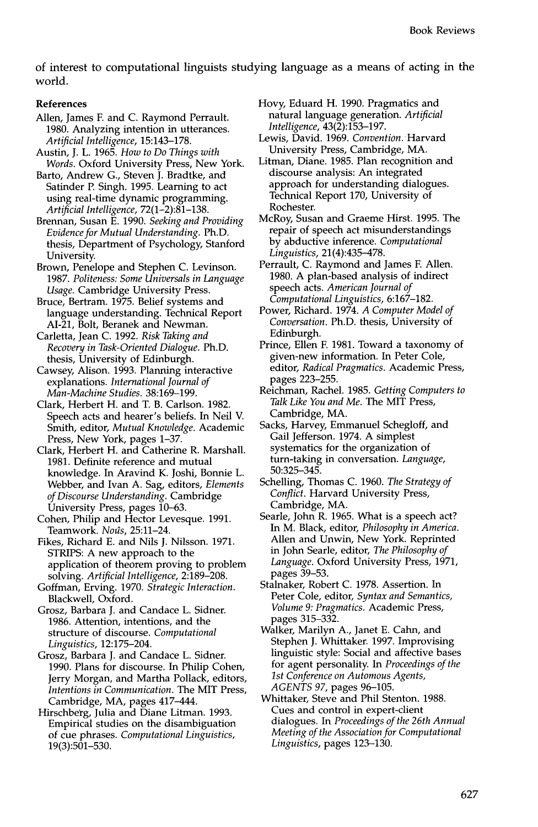of interest to computational linguists studying language as a means of acting in the world.

## **References**

- Allen, James F. and C. Raymond Perrault. 1980. Analyzing intention in utterances. *Artificial Intelligence,* 15:143-178.
- Austin, J. L. 1965. *How to Do Things with Words.* Oxford University Press, New York.
- Barto, Andrew G., Steven J. Bradtke, and Satinder P. Singh. 1995. Learning to act using real-time dynamic programming. *Artificial Intelligence,* 72(1-2):81-138.
- Brennan, Susan E. 1990. *Seeking and Providing Evidence for Mutual Understanding.* Ph.D. thesis, Department of Psychology, Stanford University.
- Brown, Penelope and Stephen C. Levinson. 1987. *Politeness: Some Universals in Language Usage.* Cambridge University Press.
- Bruce, Bertram. 1975. Belief systems and language understanding. Technical Report AI-21, Bolt, Beranek and Newman.
- Carletta, Jean C. 1992. *Risk Taking and Recovery in Task-Oriented Dialogue.* Ph.D. thesis, University of Edinburgh.
- Cawsey, Alison. 1993. Planning interactive explanations. *International Journal of Man-Machine Studies.* 38:169-199.
- Clark, Herbert H. and T. B. Carlson. 1982. Speech acts and hearer's beliefs. In Neil V. Smith, editor, *Mutual Knowledge.* Academic Press, New York, pages 1-37.
- Clark, Herbert H. and Catherine R. Marshall. 1981. Definite reference and mutual knowledge. In Aravind K. Joshi, Bonnie L. Webber, and Ivan A. Sag, editors, *Elements of Discourse Understanding.* Cambridge University Press, pages 10-63.
- Cohen, Philip and Hector Levesque. 1991. Teamwork. *Noûs*, 25:11-24.
- Fikes, Richard E. and Nils J. Nilsson. 1971. STRIPS: A new approach to the application of theorem proving to problem solving. *Artificial Intelligence,* 2:189-208.
- Goffman, Erving. 1970. *Strategic Interaction.*  Blackwell, Oxford.
- Grosz, Barbara J. and Candace L. Sidner. 1986. Attention, intentions, and the structure of discourse. *Computational Linguistics,* 12:175-204.
- Grosz, Barbara J. and Candace L. Sidner. 1990. Plans for discourse. In Philip Cohen, Jerry Morgan, and Martha Pollack, editors, *Intentions in Communication. The* MIT Press, Cambridge, MA, pages 417-444.
- Hirschberg, Julia and Diane Litman. 1993. Empirical studies on the disambiguation of cue phrases. *Computational Linguistics,*  19(3):501-530.
- Hovy, Eduard H. 1990. Pragmatics and natural language generation. *Artificial Intelligence,* 43(2):153-197.
- Lewis, David. 1969. *Convention. Harvard*  University Press, Cambridge, MA.
- Litman, Diane. 1985. Plan recognition and discourse analysis: An integrated approach for understanding dialogues. Technical Report 170, University of Rochester.
- McRoy, Susan and Graeme Hirst. 1995. The repair of speech act misunderstandings by abductive inference. *Computational Linguistics,* 21(4):435-478.
- Perrault, C. Raymond and James F. Allen. 1980. A plan-based analysis of indirect speech acts. *American Journal of Computational Linguistics,* 6:167-182.
- Power, Richard. 1974. *A Computer Model of Conversation.* Ph.D. thesis, University of Edinburgh.
- Prince, Ellen F. 1981. Toward a taxonomy of given-new information. In Peter Cole, editor, *Radical Pragmatics.* Academic Press, pages 223-255.
- Reichman, Rachel. 1985. *Getting Computers to Talk Like You and Me. The* MIT Press, Cambridge, MA.
- Sacks, Harvey, Emmanuel Schegloff, and Gail Jefferson. 1974. A simplest systematics for the organization of turn-taking in conversation. *Language,*  50:325-345.
- Schelling, Thomas C. 1960. *The Strategy of Conflict.* Harvard University Press, Cambridge, MA.
- Searle, John R. 1965. What is a speech act? In M. Black, editor, *Philosophy in America.*  Allen and Unwin, New York. Reprinted in John Searle, editor, *The Philosophy of Language.* Oxford University Press, 1971, pages 39-53.
- Stalnaker, Robert C. 1978. Assertion. In Peter Cole, editor, *Syntax and Semantics, Volume 9: Pragmatics.* Academic Press, pages 315-332.
- Walker, Marilyn A., Janet E. Cahn, and Stephen J. Whittaker. 1997. Improvising linguistic style: Social and affective bases for agent personality. In *Proceedings of the 1st Conference on Automous Agents, AGENTS 97,* pages 96-105.
- Whittaker, Steve and Phil Stenton. 1988. Cues and control in expert-client dialogues. In *Proceedings of the 26th Annual Meeting of the Association for Computational Linguistics,* pages 123-130.